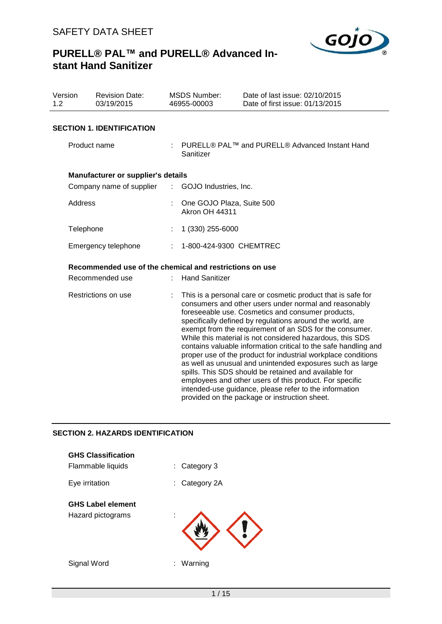

| Version<br>1.2 | <b>Revision Date:</b><br>03/19/2015                     |                             | <b>MSDS Number:</b><br>46955-00003                 | Date of last issue: 02/10/2015<br>Date of first issue: 01/13/2015                                                                                                                                                                                                                                                                                                                                                                                                                                                                                                                                                                                                                                                                                                                               |
|----------------|---------------------------------------------------------|-----------------------------|----------------------------------------------------|-------------------------------------------------------------------------------------------------------------------------------------------------------------------------------------------------------------------------------------------------------------------------------------------------------------------------------------------------------------------------------------------------------------------------------------------------------------------------------------------------------------------------------------------------------------------------------------------------------------------------------------------------------------------------------------------------------------------------------------------------------------------------------------------------|
|                | <b>SECTION 1. IDENTIFICATION</b>                        |                             |                                                    |                                                                                                                                                                                                                                                                                                                                                                                                                                                                                                                                                                                                                                                                                                                                                                                                 |
|                | Product name                                            |                             | Sanitizer                                          | PURELL® PAL™ and PURELL® Advanced Instant Hand                                                                                                                                                                                                                                                                                                                                                                                                                                                                                                                                                                                                                                                                                                                                                  |
|                | Manufacturer or supplier's details                      |                             |                                                    |                                                                                                                                                                                                                                                                                                                                                                                                                                                                                                                                                                                                                                                                                                                                                                                                 |
|                | Company name of supplier                                | $\mathbb{Z}^{\mathbb{Z}^n}$ | GOJO Industries, Inc.                              |                                                                                                                                                                                                                                                                                                                                                                                                                                                                                                                                                                                                                                                                                                                                                                                                 |
| Address        |                                                         | ÷                           | One GOJO Plaza, Suite 500<br><b>Akron OH 44311</b> |                                                                                                                                                                                                                                                                                                                                                                                                                                                                                                                                                                                                                                                                                                                                                                                                 |
| Telephone      |                                                         |                             | 1 (330) 255-6000                                   |                                                                                                                                                                                                                                                                                                                                                                                                                                                                                                                                                                                                                                                                                                                                                                                                 |
|                | Emergency telephone                                     |                             | 1-800-424-9300 CHEMTREC                            |                                                                                                                                                                                                                                                                                                                                                                                                                                                                                                                                                                                                                                                                                                                                                                                                 |
|                | Recommended use of the chemical and restrictions on use |                             |                                                    |                                                                                                                                                                                                                                                                                                                                                                                                                                                                                                                                                                                                                                                                                                                                                                                                 |
|                | Recommended use                                         |                             | <b>Hand Sanitizer</b>                              |                                                                                                                                                                                                                                                                                                                                                                                                                                                                                                                                                                                                                                                                                                                                                                                                 |
|                | Restrictions on use                                     |                             |                                                    | This is a personal care or cosmetic product that is safe for<br>consumers and other users under normal and reasonably<br>foreseeable use. Cosmetics and consumer products,<br>specifically defined by regulations around the world, are<br>exempt from the requirement of an SDS for the consumer.<br>While this material is not considered hazardous, this SDS<br>contains valuable information critical to the safe handling and<br>proper use of the product for industrial workplace conditions<br>as well as unusual and unintended exposures such as large<br>spills. This SDS should be retained and available for<br>employees and other users of this product. For specific<br>intended-use guidance, please refer to the information<br>provided on the package or instruction sheet. |

## **SECTION 2. HAZARDS IDENTIFICATION**

| <b>GHS Classification</b><br>Flammable liquids | Category 3<br>t.  |
|------------------------------------------------|-------------------|
| Eye irritation                                 | Category 2A<br>t. |
| <b>GHS Label element</b><br>Hazard pictograms  | ä,                |
| Signal Word                                    | Warning<br>t.     |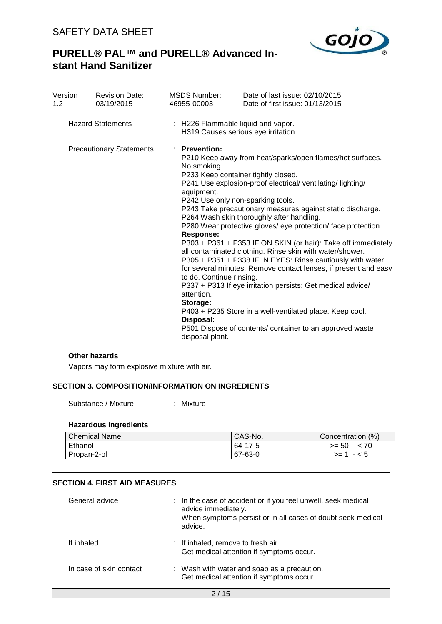

## **PURELL® PAL™ and PURELL® Advanced Instant Hand Sanitizer**

| Version<br>1.2 | <b>Revision Date:</b><br>03/19/2015 | <b>MSDS Number:</b><br>46955-00003                                                                                                                                                                                        | Date of last issue: 02/10/2015<br>Date of first issue: 01/13/2015                                                                                                                                                                                                                                                                                                                                                                                                                                                                                                                                                                                                                                                                                       |
|----------------|-------------------------------------|---------------------------------------------------------------------------------------------------------------------------------------------------------------------------------------------------------------------------|---------------------------------------------------------------------------------------------------------------------------------------------------------------------------------------------------------------------------------------------------------------------------------------------------------------------------------------------------------------------------------------------------------------------------------------------------------------------------------------------------------------------------------------------------------------------------------------------------------------------------------------------------------------------------------------------------------------------------------------------------------|
|                | <b>Hazard Statements</b>            | : H226 Flammable liquid and vapor.<br>H319 Causes serious eye irritation.                                                                                                                                                 |                                                                                                                                                                                                                                                                                                                                                                                                                                                                                                                                                                                                                                                                                                                                                         |
|                | <b>Precautionary Statements</b>     | : Prevention:<br>No smoking.<br>P233 Keep container tightly closed.<br>equipment.<br>P242 Use only non-sparking tools.<br>Response:<br>to do. Continue rinsing.<br>attention.<br>Storage:<br>Disposal:<br>disposal plant. | P210 Keep away from heat/sparks/open flames/hot surfaces.<br>P241 Use explosion-proof electrical/ventilating/lighting/<br>P243 Take precautionary measures against static discharge.<br>P264 Wash skin thoroughly after handling.<br>P280 Wear protective gloves/ eye protection/ face protection.<br>P303 + P361 + P353 IF ON SKIN (or hair): Take off immediately<br>all contaminated clothing. Rinse skin with water/shower.<br>P305 + P351 + P338 IF IN EYES: Rinse cautiously with water<br>for several minutes. Remove contact lenses, if present and easy<br>P337 + P313 If eye irritation persists: Get medical advice/<br>P403 + P235 Store in a well-ventilated place. Keep cool.<br>P501 Dispose of contents/ container to an approved waste |

#### **Other hazards**

Vapors may form explosive mixture with air.

## **SECTION 3. COMPOSITION/INFORMATION ON INGREDIENTS**

Substance / Mixture : Mixture

#### **Hazardous ingredients**

| <b>Chemical Name</b> | <sup>I</sup> CAS-No. | (% )<br>Concentration |
|----------------------|----------------------|-----------------------|
| Ethanol              | 64-17-5              | $>= 50 - 70$          |
| Propan-2-ol          | $67 - 63 - 0$        | $>= 1 - 5$            |

## **SECTION 4. FIRST AID MEASURES**

| General advice          | : In the case of accident or if you feel unwell, seek medical<br>advice immediately.<br>When symptoms persist or in all cases of doubt seek medical<br>advice. |
|-------------------------|----------------------------------------------------------------------------------------------------------------------------------------------------------------|
| If inhaled              | : If inhaled, remove to fresh air.<br>Get medical attention if symptoms occur.                                                                                 |
| In case of skin contact | : Wash with water and soap as a precaution.<br>Get medical attention if symptoms occur.                                                                        |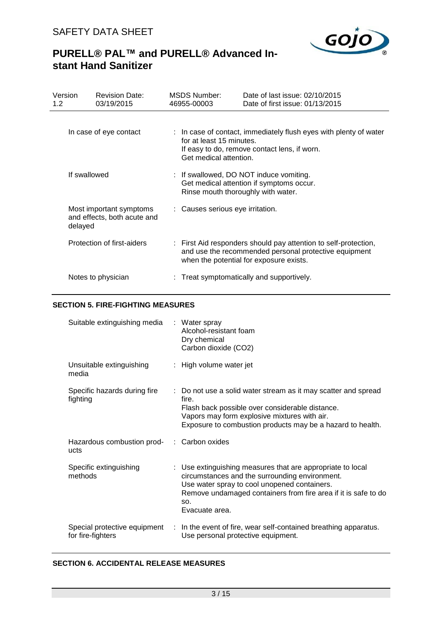

# **PURELL® PAL™ and PURELL® Advanced Instant Hand Sanitizer**

| Version<br>1.2 | <b>Revision Date:</b><br>03/19/2015                    | <b>MSDS Number:</b><br>46955-00003 | Date of last issue: 02/10/2015<br>Date of first issue: 01/13/2015                                                                                                   |
|----------------|--------------------------------------------------------|------------------------------------|---------------------------------------------------------------------------------------------------------------------------------------------------------------------|
|                | In case of eye contact                                 | for at least 15 minutes.           | : In case of contact, immediately flush eyes with plenty of water                                                                                                   |
|                |                                                        | Get medical attention.             | If easy to do, remove contact lens, if worn.                                                                                                                        |
|                | If swallowed                                           |                                    | : If swallowed, DO NOT induce vomiting.<br>Get medical attention if symptoms occur.<br>Rinse mouth thoroughly with water.                                           |
| delayed        | Most important symptoms<br>and effects, both acute and | : Causes serious eye irritation.   |                                                                                                                                                                     |
|                | Protection of first-aiders                             |                                    | : First Aid responders should pay attention to self-protection,<br>and use the recommended personal protective equipment<br>when the potential for exposure exists. |
|                | Notes to physician                                     |                                    | : Treat symptomatically and supportively.                                                                                                                           |

## **SECTION 5. FIRE-FIGHTING MEASURES**

| Suitable extinguishing media                       | : Water spray<br>Alcohol-resistant foam<br>Dry chemical<br>Carbon dioxide (CO2)                                                                                                                                                                         |
|----------------------------------------------------|---------------------------------------------------------------------------------------------------------------------------------------------------------------------------------------------------------------------------------------------------------|
| Unsuitable extinguishing<br>media                  | : High volume water jet                                                                                                                                                                                                                                 |
| Specific hazards during fire<br>fighting           | : Do not use a solid water stream as it may scatter and spread<br>fire.<br>Flash back possible over considerable distance.<br>Vapors may form explosive mixtures with air.<br>Exposure to combustion products may be a hazard to health.                |
| Hazardous combustion prod- : Carbon oxides<br>ucts |                                                                                                                                                                                                                                                         |
| Specific extinguishing<br>methods                  | : Use extinguishing measures that are appropriate to local<br>circumstances and the surrounding environment.<br>Use water spray to cool unopened containers.<br>Remove undamaged containers from fire area if it is safe to do<br>SO.<br>Evacuate area. |
| Special protective equipment<br>for fire-fighters  | : In the event of fire, wear self-contained breathing apparatus.<br>Use personal protective equipment.                                                                                                                                                  |

## **SECTION 6. ACCIDENTAL RELEASE MEASURES**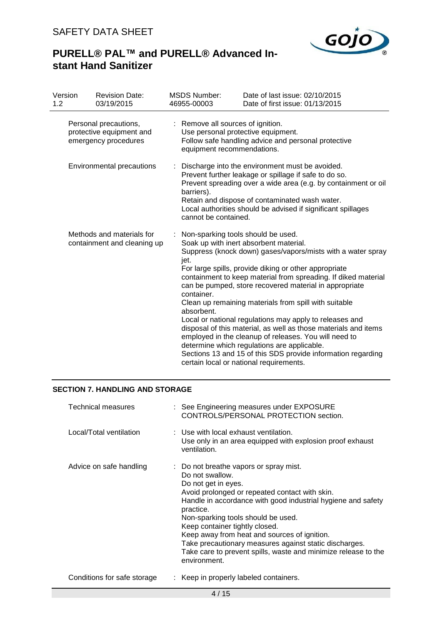

# **PURELL® PAL™ and PURELL® Advanced Instant Hand Sanitizer**

| Version<br>1.2 | <b>Revision Date:</b><br>03/19/2015                                       | <b>MSDS Number:</b><br>46955-00003 | Date of last issue: 02/10/2015<br>Date of first issue: 01/13/2015                                                                                                                                                                                                                                                                                                                                                                                                                                                                                                                                                                                                                                                                          |
|----------------|---------------------------------------------------------------------------|------------------------------------|--------------------------------------------------------------------------------------------------------------------------------------------------------------------------------------------------------------------------------------------------------------------------------------------------------------------------------------------------------------------------------------------------------------------------------------------------------------------------------------------------------------------------------------------------------------------------------------------------------------------------------------------------------------------------------------------------------------------------------------------|
|                | Personal precautions,<br>protective equipment and<br>emergency procedures | : Remove all sources of ignition.  | Use personal protective equipment.<br>Follow safe handling advice and personal protective<br>equipment recommendations.                                                                                                                                                                                                                                                                                                                                                                                                                                                                                                                                                                                                                    |
|                | Environmental precautions                                                 | barriers).<br>cannot be contained. | Discharge into the environment must be avoided.<br>Prevent further leakage or spillage if safe to do so.<br>Prevent spreading over a wide area (e.g. by containment or oil<br>Retain and dispose of contaminated wash water.<br>Local authorities should be advised if significant spillages                                                                                                                                                                                                                                                                                                                                                                                                                                               |
|                | Methods and materials for<br>containment and cleaning up                  | iet.<br>container.<br>absorbent.   | Non-sparking tools should be used.<br>Soak up with inert absorbent material.<br>Suppress (knock down) gases/vapors/mists with a water spray<br>For large spills, provide diking or other appropriate<br>containment to keep material from spreading. If diked material<br>can be pumped, store recovered material in appropriate<br>Clean up remaining materials from spill with suitable<br>Local or national regulations may apply to releases and<br>disposal of this material, as well as those materials and items<br>employed in the cleanup of releases. You will need to<br>determine which regulations are applicable.<br>Sections 13 and 15 of this SDS provide information regarding<br>certain local or national requirements. |

## **SECTION 7. HANDLING AND STORAGE**

| Technical measures          | : See Engineering measures under EXPOSURE<br>CONTROLS/PERSONAL PROTECTION section.                                                                                                                                                                                                                                                                                                                                                                                                  |
|-----------------------------|-------------------------------------------------------------------------------------------------------------------------------------------------------------------------------------------------------------------------------------------------------------------------------------------------------------------------------------------------------------------------------------------------------------------------------------------------------------------------------------|
| Local/Total ventilation     | : Use with local exhaust ventilation.<br>Use only in an area equipped with explosion proof exhaust<br>ventilation.                                                                                                                                                                                                                                                                                                                                                                  |
| Advice on safe handling     | : Do not breathe vapors or spray mist.<br>Do not swallow.<br>Do not get in eyes.<br>Avoid prolonged or repeated contact with skin.<br>Handle in accordance with good industrial hygiene and safety<br>practice.<br>Non-sparking tools should be used.<br>Keep container tightly closed.<br>Keep away from heat and sources of ignition.<br>Take precautionary measures against static discharges.<br>Take care to prevent spills, waste and minimize release to the<br>environment. |
| Conditions for safe storage | : Keep in properly labeled containers.                                                                                                                                                                                                                                                                                                                                                                                                                                              |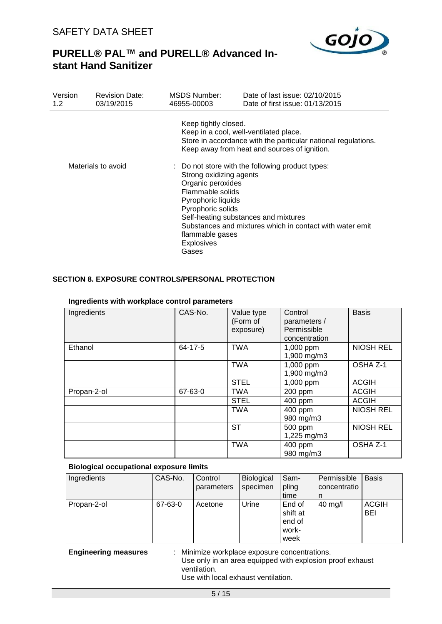

| Version<br>1.2 <sub>1</sub> | <b>Revision Date:</b><br>03/19/2015 | MSDS Number:<br>46955-00003                                                                                                                                  | Date of last issue: 02/10/2015<br>Date of first issue: 01/13/2015                                                                                       |
|-----------------------------|-------------------------------------|--------------------------------------------------------------------------------------------------------------------------------------------------------------|---------------------------------------------------------------------------------------------------------------------------------------------------------|
|                             |                                     | Keep tightly closed.                                                                                                                                         | Keep in a cool, well-ventilated place.<br>Store in accordance with the particular national regulations.<br>Keep away from heat and sources of ignition. |
|                             | Materials to avoid                  | Strong oxidizing agents<br>Organic peroxides<br>Flammable solids<br>Pyrophoric liquids<br>Pyrophoric solids<br>flammable gases<br><b>Explosives</b><br>Gases | : Do not store with the following product types:<br>Self-heating substances and mixtures<br>Substances and mixtures which in contact with water emit    |

## **SECTION 8. EXPOSURE CONTROLS/PERSONAL PROTECTION**

| Ingredients | CAS-No. | Value type<br>(Form of<br>exposure) | Control<br>parameters /<br>Permissible<br>concentration | <b>Basis</b>     |
|-------------|---------|-------------------------------------|---------------------------------------------------------|------------------|
| Ethanol     | 64-17-5 | <b>TWA</b>                          | 1,000 ppm<br>1,900 mg/m3                                | <b>NIOSH REL</b> |
|             |         | <b>TWA</b>                          | 1,000 ppm<br>1,900 mg/m3                                | OSHA Z-1         |
|             |         | <b>STEL</b>                         | 1,000 ppm                                               | <b>ACGIH</b>     |
| Propan-2-ol | 67-63-0 | <b>TWA</b>                          | 200 ppm                                                 | <b>ACGIH</b>     |
|             |         | <b>STEL</b>                         | 400 ppm                                                 | <b>ACGIH</b>     |
|             |         | <b>TWA</b>                          | 400 ppm<br>980 mg/m3                                    | <b>NIOSH REL</b> |
|             |         | ST                                  | 500 ppm<br>1,225 mg/m3                                  | <b>NIOSH REL</b> |
|             |         | <b>TWA</b>                          | 400 ppm<br>980 mg/m3                                    | OSHA Z-1         |

#### **Ingredients with workplace control parameters**

#### **Biological occupational exposure limits**

| Ingredients | CAS-No. | Control<br>parameters | Biological<br>specimen | Sam-<br>pling<br>time                         | Permissible<br>concentratio<br>n | <b>Basis</b>               |
|-------------|---------|-----------------------|------------------------|-----------------------------------------------|----------------------------------|----------------------------|
| Propan-2-ol | 67-63-0 | Acetone               | Urine                  | End of<br>shift at<br>end of<br>work-<br>week | $40$ mg/l                        | <b>ACGIH</b><br><b>BEI</b> |

**Engineering measures** : Minimize workplace exposure concentrations. Use only in an area equipped with explosion proof exhaust ventilation. Use with local exhaust ventilation.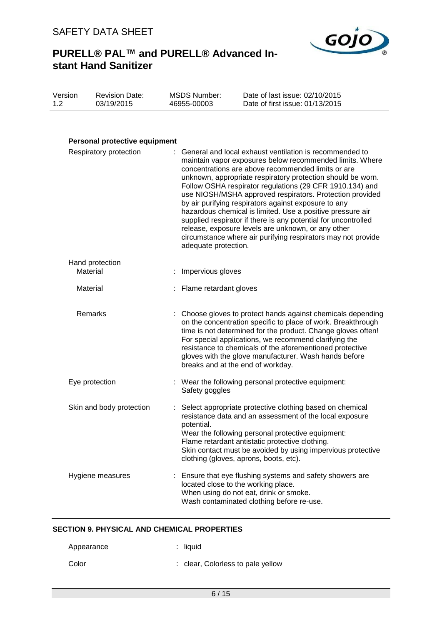

| Version | <b>Revision Date:</b> | MSDS Number: | Date of last issue: 02/10/2015  |
|---------|-----------------------|--------------|---------------------------------|
| 1.2     | 03/19/2015            | 46955-00003  | Date of first issue: 01/13/2015 |

## **Personal protective equipment**

| Respiratory protection      | General and local exhaust ventilation is recommended to<br>maintain vapor exposures below recommended limits. Where<br>concentrations are above recommended limits or are<br>unknown, appropriate respiratory protection should be worn.<br>Follow OSHA respirator regulations (29 CFR 1910.134) and<br>use NIOSH/MSHA approved respirators. Protection provided<br>by air purifying respirators against exposure to any<br>hazardous chemical is limited. Use a positive pressure air<br>supplied respirator if there is any potential for uncontrolled<br>release, exposure levels are unknown, or any other<br>circumstance where air purifying respirators may not provide<br>adequate protection. |
|-----------------------------|--------------------------------------------------------------------------------------------------------------------------------------------------------------------------------------------------------------------------------------------------------------------------------------------------------------------------------------------------------------------------------------------------------------------------------------------------------------------------------------------------------------------------------------------------------------------------------------------------------------------------------------------------------------------------------------------------------|
| Hand protection<br>Material | Impervious gloves                                                                                                                                                                                                                                                                                                                                                                                                                                                                                                                                                                                                                                                                                      |
| Material                    | Flame retardant gloves                                                                                                                                                                                                                                                                                                                                                                                                                                                                                                                                                                                                                                                                                 |
| Remarks                     | : Choose gloves to protect hands against chemicals depending<br>on the concentration specific to place of work. Breakthrough<br>time is not determined for the product. Change gloves often!<br>For special applications, we recommend clarifying the<br>resistance to chemicals of the aforementioned protective<br>gloves with the glove manufacturer. Wash hands before<br>breaks and at the end of workday.                                                                                                                                                                                                                                                                                        |
| Eye protection              | : Wear the following personal protective equipment:<br>Safety goggles                                                                                                                                                                                                                                                                                                                                                                                                                                                                                                                                                                                                                                  |
| Skin and body protection    | Select appropriate protective clothing based on chemical<br>resistance data and an assessment of the local exposure<br>potential.<br>Wear the following personal protective equipment:<br>Flame retardant antistatic protective clothing.<br>Skin contact must be avoided by using impervious protective<br>clothing (gloves, aprons, boots, etc).                                                                                                                                                                                                                                                                                                                                                     |
| Hygiene measures            | : Ensure that eye flushing systems and safety showers are<br>located close to the working place.<br>When using do not eat, drink or smoke.<br>Wash contaminated clothing before re-use.                                                                                                                                                                                                                                                                                                                                                                                                                                                                                                                |

## **SECTION 9. PHYSICAL AND CHEMICAL PROPERTIES**

| Appearance | $:$ liquid                        |
|------------|-----------------------------------|
| Color      | : clear, Colorless to pale yellow |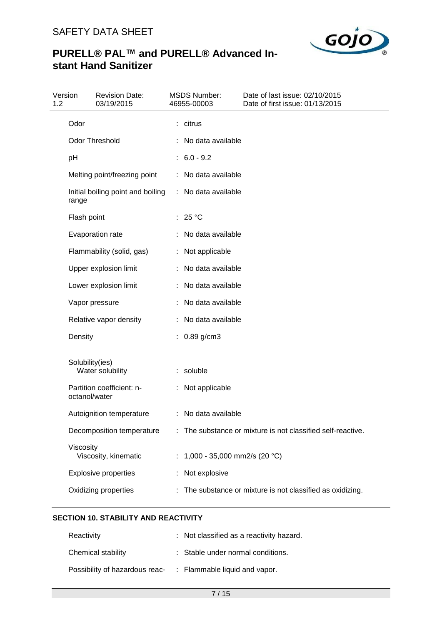

# **PURELL® PAL™ and PURELL® Advanced Instant Hand Sanitizer**

| 1.2 | Version         | <b>Revision Date:</b><br>03/19/2015 | <b>MSDS Number:</b><br>46955-00003 | Date of last issue: 02/10/2015<br>Date of first issue: 01/13/2015 |
|-----|-----------------|-------------------------------------|------------------------------------|-------------------------------------------------------------------|
|     | Odor            |                                     | : citrus                           |                                                                   |
|     |                 | <b>Odor Threshold</b>               | No data available                  |                                                                   |
|     | pH              |                                     | $: 6.0 - 9.2$                      |                                                                   |
|     |                 | Melting point/freezing point        | : No data available                |                                                                   |
|     | range           | Initial boiling point and boiling   | : No data available                |                                                                   |
|     | Flash point     |                                     | : $25^{\circ}$ C                   |                                                                   |
|     |                 | Evaporation rate                    | No data available                  |                                                                   |
|     |                 | Flammability (solid, gas)           | Not applicable                     |                                                                   |
|     |                 | Upper explosion limit               | : No data available                |                                                                   |
|     |                 | Lower explosion limit               | No data available                  |                                                                   |
|     |                 | Vapor pressure                      | No data available                  |                                                                   |
|     |                 | Relative vapor density              | : No data available                |                                                                   |
|     | Density         |                                     | 0.89 g/cm3                         |                                                                   |
|     | Solubility(ies) | Water solubility                    | : soluble                          |                                                                   |
|     | octanol/water   | Partition coefficient: n-           | Not applicable                     |                                                                   |
|     |                 | Autoignition temperature            | : No data available                |                                                                   |
|     |                 | Decomposition temperature           |                                    | : The substance or mixture is not classified self-reactive.       |
|     | Viscosity       | Viscosity, kinematic                | 1,000 - 35,000 mm2/s (20 °C)       |                                                                   |
|     |                 | <b>Explosive properties</b>         | Not explosive                      |                                                                   |
|     |                 | Oxidizing properties                |                                    | The substance or mixture is not classified as oxidizing.          |

## **SECTION 10. STABILITY AND REACTIVITY**

| Reactivity                                                   | : Not classified as a reactivity hazard. |
|--------------------------------------------------------------|------------------------------------------|
| Chemical stability                                           | : Stable under normal conditions.        |
| Possibility of hazardous reac- : Flammable liquid and vapor. |                                          |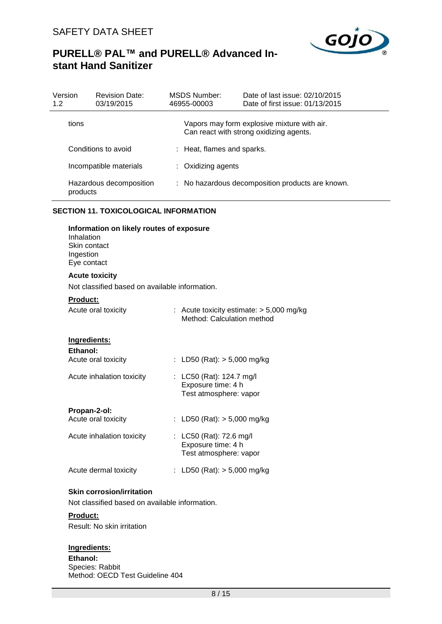

| Version<br>1.2 | <b>Revision Date:</b><br>03/19/2015 | MSDS Number:<br>46955-00003 | Date of last issue: 02/10/2015<br>Date of first issue: 01/13/2015                      |
|----------------|-------------------------------------|-----------------------------|----------------------------------------------------------------------------------------|
|                | tions                               |                             | Vapors may form explosive mixture with air.<br>Can react with strong oxidizing agents. |
|                | Conditions to avoid                 | : Heat, flames and sparks.  |                                                                                        |
|                | Incompatible materials              | : Oxidizing agents          |                                                                                        |
|                | Hazardous decomposition<br>products |                             | : No hazardous decomposition products are known.                                       |

#### **SECTION 11. TOXICOLOGICAL INFORMATION**

| Information on likely routes of exposure<br>Inhalation<br>Skin contact<br>Ingestion<br>Eye contact |                                                                          |
|----------------------------------------------------------------------------------------------------|--------------------------------------------------------------------------|
| <b>Acute toxicity</b>                                                                              |                                                                          |
| Not classified based on available information.                                                     |                                                                          |
| Product:                                                                                           |                                                                          |
| Acute oral toxicity                                                                                | : Acute toxicity estimate: $> 5,000$ mg/kg<br>Method: Calculation method |
| Ingredients:                                                                                       |                                                                          |
| Ethanol:                                                                                           |                                                                          |
| Acute oral toxicity                                                                                | : LD50 (Rat): $> 5,000$ mg/kg                                            |
| Acute inhalation toxicity                                                                          | : LC50 (Rat): 124.7 mg/l<br>Exposure time: 4 h<br>Test atmosphere: vapor |
| Propan-2-ol:                                                                                       |                                                                          |
| Acute oral toxicity                                                                                | : LD50 (Rat): $> 5,000$ mg/kg                                            |
| Acute inhalation toxicity                                                                          | : LC50 (Rat): 72.6 mg/l<br>Exposure time: 4 h<br>Test atmosphere: vapor  |
| Acute dermal toxicity                                                                              | LD50 (Rat): $> 5,000$ mg/kg                                              |

#### **Skin corrosion/irritation**

Not classified based on available information.

## **Product:**

Result: No skin irritation

## **Ingredients:**

**Ethanol:** Species: Rabbit Method: OECD Test Guideline 404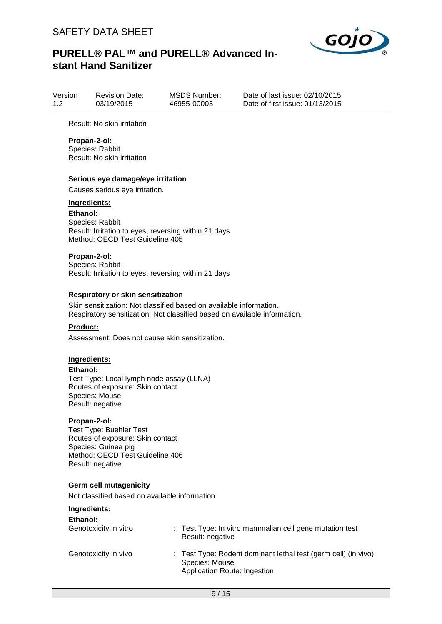

| Version | <b>Revision Date:</b> | <b>MSDS Number:</b> |
|---------|-----------------------|---------------------|
| 1.2     | 03/19/2015            | 46955-00003         |

Date of last issue: 02/10/2015 Date of first issue: 01/13/2015

Result: No skin irritation

#### **Propan-2-ol:**

Species: Rabbit Result: No skin irritation

#### **Serious eye damage/eye irritation**

Causes serious eye irritation.

#### **Ingredients:**

**Ethanol:** Species: Rabbit Result: Irritation to eyes, reversing within 21 days Method: OECD Test Guideline 405

### **Propan-2-ol:**

Species: Rabbit Result: Irritation to eyes, reversing within 21 days

#### **Respiratory or skin sensitization**

Skin sensitization: Not classified based on available information. Respiratory sensitization: Not classified based on available information.

#### **Product:**

Assessment: Does not cause skin sensitization.

#### **Ingredients:**

**Ethanol:**

Test Type: Local lymph node assay (LLNA) Routes of exposure: Skin contact Species: Mouse Result: negative

#### **Propan-2-ol:**

Test Type: Buehler Test Routes of exposure: Skin contact Species: Guinea pig Method: OECD Test Guideline 406 Result: negative

#### **Germ cell mutagenicity**

Not classified based on available information.

## **Ingredients:**

| Ethanol:<br>Genotoxicity in vitro | : Test Type: In vitro mammalian cell gene mutation test<br>Result: negative                                      |
|-----------------------------------|------------------------------------------------------------------------------------------------------------------|
| Genotoxicity in vivo              | : Test Type: Rodent dominant lethal test (germ cell) (in vivo)<br>Species: Mouse<br>Application Route: Ingestion |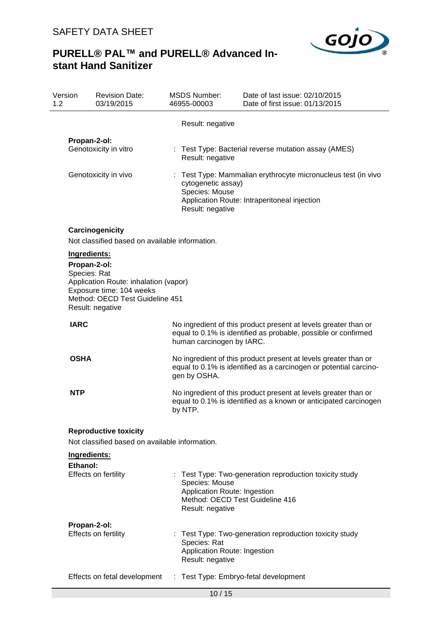

| Version<br>1.2 | <b>Revision Date:</b><br>03/19/2015                                                                                                                                      | <b>MSDS Number:</b><br>46955-00003                                 | Date of last issue: 02/10/2015<br>Date of first issue: 01/13/2015                                                                    |
|----------------|--------------------------------------------------------------------------------------------------------------------------------------------------------------------------|--------------------------------------------------------------------|--------------------------------------------------------------------------------------------------------------------------------------|
|                |                                                                                                                                                                          | Result: negative                                                   |                                                                                                                                      |
|                | Propan-2-ol:<br>Genotoxicity in vitro                                                                                                                                    | Result: negative                                                   | : Test Type: Bacterial reverse mutation assay (AMES)                                                                                 |
|                | Genotoxicity in vivo                                                                                                                                                     | cytogenetic assay)<br>Species: Mouse<br>Result: negative           | : Test Type: Mammalian erythrocyte micronucleus test (in vivo<br>Application Route: Intraperitoneal injection                        |
|                | Carcinogenicity                                                                                                                                                          |                                                                    |                                                                                                                                      |
|                | Not classified based on available information.                                                                                                                           |                                                                    |                                                                                                                                      |
|                | Ingredients:<br>Propan-2-ol:<br>Species: Rat<br>Application Route: inhalation (vapor)<br>Exposure time: 104 weeks<br>Method: OECD Test Guideline 451<br>Result: negative |                                                                    |                                                                                                                                      |
|                | <b>IARC</b>                                                                                                                                                              | human carcinogen by IARC.                                          | No ingredient of this product present at levels greater than or<br>equal to 0.1% is identified as probable, possible or confirmed    |
|                | <b>OSHA</b>                                                                                                                                                              | gen by OSHA.                                                       | No ingredient of this product present at levels greater than or<br>equal to 0.1% is identified as a carcinogen or potential carcino- |
|                | <b>NTP</b>                                                                                                                                                               | by NTP.                                                            | No ingredient of this product present at levels greater than or<br>equal to 0.1% is identified as a known or anticipated carcinogen  |
|                | <b>Reproductive toxicity</b>                                                                                                                                             |                                                                    |                                                                                                                                      |
|                | Not classified based on available information.                                                                                                                           |                                                                    |                                                                                                                                      |
|                | Ingredients:                                                                                                                                                             |                                                                    |                                                                                                                                      |
|                | Ethanol:<br>Effects on fertility                                                                                                                                         | Species: Mouse<br>Application Route: Ingestion<br>Result: negative | Test Type: Two-generation reproduction toxicity study<br>Method: OECD Test Guideline 416                                             |
|                | Propan-2-ol:<br>Effects on fertility                                                                                                                                     | Species: Rat<br>Application Route: Ingestion<br>Result: negative   | : Test Type: Two-generation reproduction toxicity study                                                                              |
|                | Effects on fetal development                                                                                                                                             | ÷.                                                                 | Test Type: Embryo-fetal development                                                                                                  |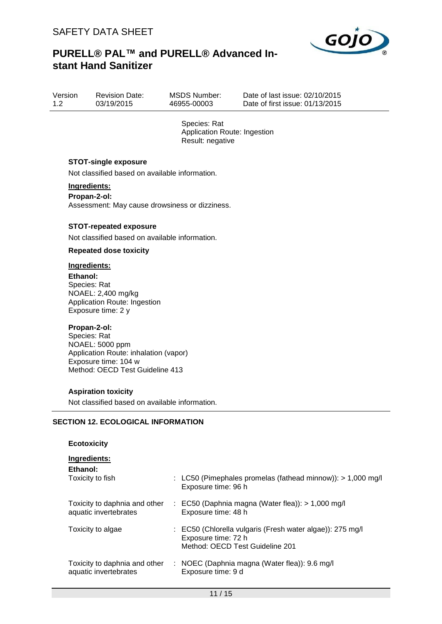

| Version | <b>Revision Date:</b> |
|---------|-----------------------|
| 1.2     | 03/19/2015            |

MSDS Number: 46955-00003

Date of last issue: 02/10/2015 Date of first issue: 01/13/2015

Species: Rat Application Route: Ingestion Result: negative

## **STOT-single exposure**

Not classified based on available information.

## **Ingredients:**

**Propan-2-ol:** Assessment: May cause drowsiness or dizziness.

#### **STOT-repeated exposure**

Not classified based on available information.

## **Repeated dose toxicity**

## **Ingredients:**

**Ethanol:** Species: Rat NOAEL: 2,400 mg/kg Application Route: Ingestion Exposure time: 2 y

#### **Propan-2-ol:**

Species: Rat NOAEL: 5000 ppm Application Route: inhalation (vapor) Exposure time: 104 w Method: OECD Test Guideline 413

#### **Aspiration toxicity**

Not classified based on available information.

#### **SECTION 12. ECOLOGICAL INFORMATION**

| <b>Ecotoxicity</b>                                     |                                                                                                                     |
|--------------------------------------------------------|---------------------------------------------------------------------------------------------------------------------|
| Ingredients:<br>Ethanol:<br>Toxicity to fish           | : LC50 (Pimephales promelas (fathead minnow)): $> 1,000$ mg/l<br>Exposure time: 96 h                                |
| Toxicity to daphnia and other<br>aquatic invertebrates | $\therefore$ EC50 (Daphnia magna (Water flea)): > 1,000 mg/l<br>Exposure time: 48 h                                 |
| Toxicity to algae                                      | : EC50 (Chlorella vulgaris (Fresh water algae)): 275 mg/l<br>Exposure time: 72 h<br>Method: OECD Test Guideline 201 |
| Toxicity to daphnia and other<br>aquatic invertebrates | : NOEC (Daphnia magna (Water flea)): 9.6 mg/l<br>Exposure time: 9 d                                                 |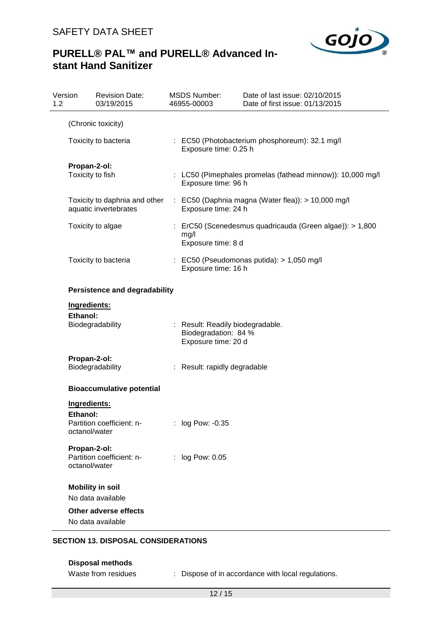

# **PURELL® PAL™ and PURELL® Advanced Instant Hand Sanitizer**

| Version<br>1.2 |                                                                                                                    | <b>Revision Date:</b><br>03/19/2015          |                                                                           | <b>MSDS Number:</b><br>46955-00003                                              | Date of last issue: 02/10/2015<br>Date of first issue: 01/13/2015 |
|----------------|--------------------------------------------------------------------------------------------------------------------|----------------------------------------------|---------------------------------------------------------------------------|---------------------------------------------------------------------------------|-------------------------------------------------------------------|
|                |                                                                                                                    | (Chronic toxicity)                           |                                                                           |                                                                                 |                                                                   |
|                | Toxicity to bacteria<br>Propan-2-ol:<br>Toxicity to fish<br>Toxicity to daphnia and other<br>aquatic invertebrates |                                              | : EC50 (Photobacterium phosphoreum): 32.1 mg/l<br>Exposure time: 0.25 h   |                                                                                 |                                                                   |
|                |                                                                                                                    |                                              |                                                                           | Exposure time: 96 h                                                             | : LC50 (Pimephales promelas (fathead minnow)): 10,000 mg/l        |
|                |                                                                                                                    |                                              | : EC50 (Daphnia magna (Water flea)): > 10,000 mg/l<br>Exposure time: 24 h |                                                                                 |                                                                   |
|                |                                                                                                                    | Toxicity to algae                            |                                                                           | mg/l<br>Exposure time: 8 d                                                      | : ErC50 (Scenedesmus quadricauda (Green algae)): > 1,800          |
|                |                                                                                                                    | Toxicity to bacteria                         |                                                                           | Exposure time: 16 h                                                             | $\therefore$ EC50 (Pseudomonas putida): > 1,050 mg/l              |
|                |                                                                                                                    | <b>Persistence and degradability</b>         |                                                                           |                                                                                 |                                                                   |
|                | Ingredients:                                                                                                       |                                              |                                                                           |                                                                                 |                                                                   |
|                | Ethanol:                                                                                                           | Biodegradability                             |                                                                           | : Result: Readily biodegradable.<br>Biodegradation: 84 %<br>Exposure time: 20 d |                                                                   |
|                | Propan-2-ol:                                                                                                       | Biodegradability                             |                                                                           | : Result: rapidly degradable                                                    |                                                                   |
|                | <b>Bioaccumulative potential</b>                                                                                   |                                              |                                                                           |                                                                                 |                                                                   |
|                | Ingredients:<br>Ethanol:<br>octanol/water                                                                          | Partition coefficient: n-                    |                                                                           | log Pow: -0.35                                                                  |                                                                   |
|                | Propan-2-ol:<br>octanol/water                                                                                      | Partition coefficient: n-                    |                                                                           | : log Pow: 0.05                                                                 |                                                                   |
|                |                                                                                                                    | <b>Mobility in soil</b><br>No data available |                                                                           |                                                                                 |                                                                   |
|                |                                                                                                                    | Other adverse effects<br>No data available   |                                                                           |                                                                                 |                                                                   |

## **SECTION 13. DISPOSAL CONSIDERATIONS**

**Disposal methods**

Waste from residues : Dispose of in accordance with local regulations.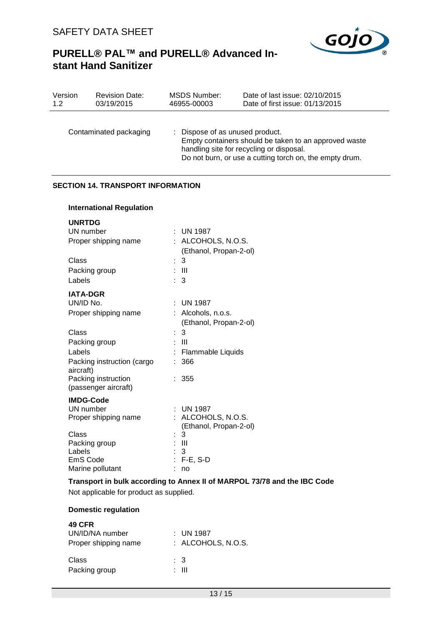

| Version<br>1.2 |                                                                                                               | <b>Revision Date:</b><br>03/19/2015                                                                                                                         |  | <b>MSDS Number:</b><br>46955-00003                                                                                                                                                                         | Date of last issue: 02/10/2015<br>Date of first issue: 01/13/2015 |  |
|----------------|---------------------------------------------------------------------------------------------------------------|-------------------------------------------------------------------------------------------------------------------------------------------------------------|--|------------------------------------------------------------------------------------------------------------------------------------------------------------------------------------------------------------|-------------------------------------------------------------------|--|
|                | Contaminated packaging                                                                                        |                                                                                                                                                             |  | : Dispose of as unused product.<br>Empty containers should be taken to an approved waste<br>handling site for recycling or disposal.<br>Do not burn, or use a cutting torch on, the empty drum.            |                                                                   |  |
|                | <b>SECTION 14. TRANSPORT INFORMATION</b>                                                                      |                                                                                                                                                             |  |                                                                                                                                                                                                            |                                                                   |  |
|                |                                                                                                               | <b>International Regulation</b>                                                                                                                             |  |                                                                                                                                                                                                            |                                                                   |  |
|                | <b>UNRTDG</b><br>UN number<br>Class<br>Labels<br><b>IATA-DGR</b><br>UN/ID No.<br>Class<br>Labels<br>aircraft) | Proper shipping name<br>Packing group<br>Proper shipping name<br>Packing group<br>Packing instruction (cargo<br>Packing instruction<br>(passenger aircraft) |  | $:$ UN 1987<br>: ALCOHOLS, N.O.S.<br>(Ethanol, Propan-2-ol)<br>$\mathbf{3}$<br>: III<br>3<br><b>UN 1987</b><br>Alcohols, n.o.s.<br>(Ethanol, Propan-2-ol)<br>3<br>- 111<br>Flammable Liquids<br>366<br>355 |                                                                   |  |
|                | <b>IMDG-Code</b><br>UN number<br>Class<br>Labels<br>EmS Code                                                  | Proper shipping name<br>Packing group<br>Marine pollutant                                                                                                   |  | UN 1987<br>: ALCOHOLS, N.O.S.<br>(Ethanol, Propan-2-ol)<br>3<br>: III<br>-3<br>$: F-E, S-D$<br>: no                                                                                                        |                                                                   |  |
|                | Transport in bulk according to Annex II of MARPOL 73/78 and the IBC Code                                      |                                                                                                                                                             |  |                                                                                                                                                                                                            |                                                                   |  |

Not applicable for product as supplied.

## **Domestic regulation**

| <b>49 CFR</b><br>UN/ID/NA number<br>Proper shipping name | : UN 1987<br>: ALCOHOLS, N.O.S. |
|----------------------------------------------------------|---------------------------------|
| Class                                                    | $\therefore$ 3                  |
| Packing group                                            | : III                           |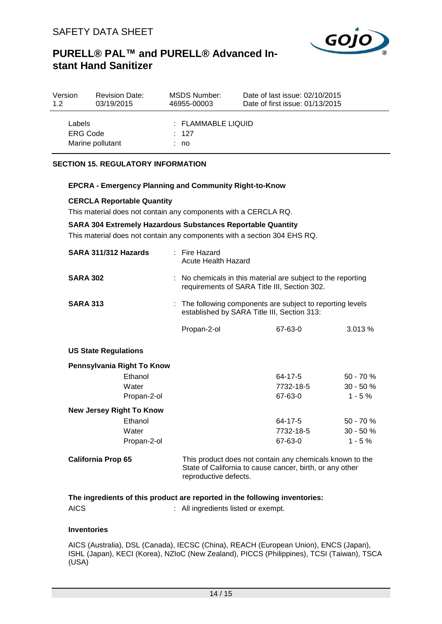

| Version            | <b>Revision Date:</b> | MSDS Number:                               | Date of last issue: 02/10/2015  |
|--------------------|-----------------------|--------------------------------------------|---------------------------------|
| 1.2                | 03/19/2015            | 46955-00003                                | Date of first issue: 01/13/2015 |
| Labels<br>ERG Code | Marine pollutant      | $\pm$ FLAMMABLE LIQUID<br>$\div$ 127<br>no |                                 |

## **SECTION 15. REGULATORY INFORMATION**

#### **EPCRA - Emergency Planning and Community Right-to-Know**

#### **CERCLA Reportable Quantity**

This material does not contain any components with a CERCLA RQ.

#### **SARA 304 Extremely Hazardous Substances Reportable Quantity**

This material does not contain any components with a section 304 EHS RQ.

| SARA 311/312 Hazards            |             | $:$ Fire Hazard<br>Acute Health Hazard                                                                                                        |               |              |  |
|---------------------------------|-------------|-----------------------------------------------------------------------------------------------------------------------------------------------|---------------|--------------|--|
| <b>SARA 302</b>                 |             | : No chemicals in this material are subject to the reporting<br>requirements of SARA Title III, Section 302.                                  |               |              |  |
| <b>SARA 313</b>                 |             | The following components are subject to reporting levels<br>established by SARA Title III, Section 313:                                       |               |              |  |
|                                 |             | Propan-2-ol                                                                                                                                   | 67-63-0       | 3.013%       |  |
| <b>US State Regulations</b>     |             |                                                                                                                                               |               |              |  |
| Pennsylvania Right To Know      |             |                                                                                                                                               |               |              |  |
|                                 | Ethanol     |                                                                                                                                               | 64-17-5       | $50 - 70 \%$ |  |
|                                 | Water       |                                                                                                                                               | 7732-18-5     | $30 - 50 \%$ |  |
|                                 | Propan-2-ol |                                                                                                                                               | 67-63-0       | $1 - 5 \%$   |  |
| <b>New Jersey Right To Know</b> |             |                                                                                                                                               |               |              |  |
|                                 | Ethanol     |                                                                                                                                               | $64 - 17 - 5$ | 50 - 70 %    |  |
|                                 | Water       |                                                                                                                                               | 7732-18-5     | $30 - 50 \%$ |  |
|                                 | Propan-2-ol |                                                                                                                                               | 67-63-0       | $1 - 5%$     |  |
| <b>California Prop 65</b>       |             | This product does not contain any chemicals known to the<br>State of California to cause cancer, birth, or any other<br>reproductive defects. |               |              |  |

## **The ingredients of this product are reported in the following inventories:** AICS : All ingredients listed or exempt.

## **Inventories**

AICS (Australia), DSL (Canada), IECSC (China), REACH (European Union), ENCS (Japan), ISHL (Japan), KECI (Korea), NZIoC (New Zealand), PICCS (Philippines), TCSI (Taiwan), TSCA (USA)